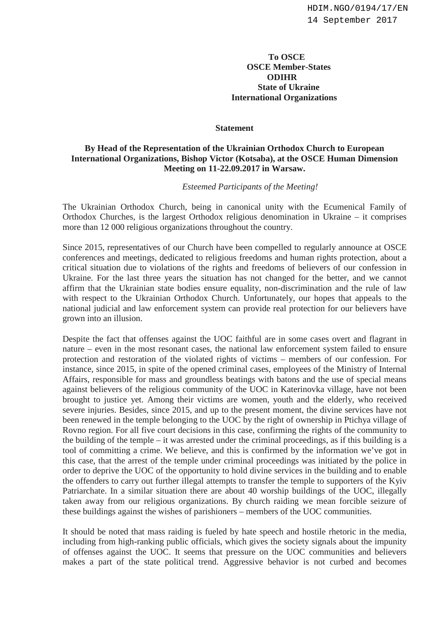## **To OSCE OSCE Member-States ODIHR State of Ukraine International Organizations**

## **Statement**

## **By Head of the Representation of the Ukrainian Orthodox Church to European International Organizations, Bishop Victor (Kotsaba), at the OSCE Human Dimension Meeting on 11-22.09.2017 in Warsaw.**

*Esteemed Participants of the Meeting!* 

The Ukrainian Orthodox Church, being in canonical unity with the Ecumenical Family of Orthodox Churches, is the largest Orthodox religious denomination in Ukraine – it comprises more than 12 000 religious organizations throughout the country.

Since 2015, representatives of our Church have been compelled to regularly announce at OSCE conferences and meetings, dedicated to religious freedoms and human rights protection, about a critical situation due to violations of the rights and freedoms of believers of our confession in Ukraine. For the last three years the situation has not changed for the better, and we cannot affirm that the Ukrainian state bodies ensure equality, non-discrimination and the rule of law with respect to the Ukrainian Orthodox Church. Unfortunately, our hopes that appeals to the national judicial and law enforcement system can provide real protection for our believers have grown into an illusion.

Despite the fact that offenses against the UOC faithful are in some cases overt and flagrant in nature – even in the most resonant cases, the national law enforcement system failed to ensure protection and restoration of the violated rights of victims – members of our confession. For instance, since 2015, in spite of the opened criminal cases, employees of the Ministry of Internal Affairs, responsible for mass and groundless beatings with batons and the use of special means against believers of the religious community of the UOC in Katerinovka village, have not been brought to justice yet. Among their victims are women, youth and the elderly, who received severe injuries. Besides, since 2015, and up to the present moment, the divine services have not been renewed in the temple belonging to the UOC by the right of ownership in Ptichya village of Rovno region. For all five court decisions in this case, confirming the rights of the community to the building of the temple – it was arrested under the criminal proceedings, as if this building is a tool of committing a crime. We believe, and this is confirmed by the information we've got in this case, that the arrest of the temple under criminal proceedings was initiated by the police in order to deprive the UOC of the opportunity to hold divine services in the building and to enable the offenders to carry out further illegal attempts to transfer the temple to supporters of the Kyiv Patriarchate. In a similar situation there are about 40 worship buildings of the UOC, illegally taken away from our religious organizations. By church raiding we mean forcible seizure of these buildings against the wishes of parishioners – members of the UOC communities.

It should be noted that mass raiding is fueled by hate speech and hostile rhetoric in the media, including from high-ranking public officials, which gives the society signals about the impunity of offenses against the UOC. It seems that pressure on the UOC communities and believers makes a part of the state political trend. Aggressive behavior is not curbed and becomes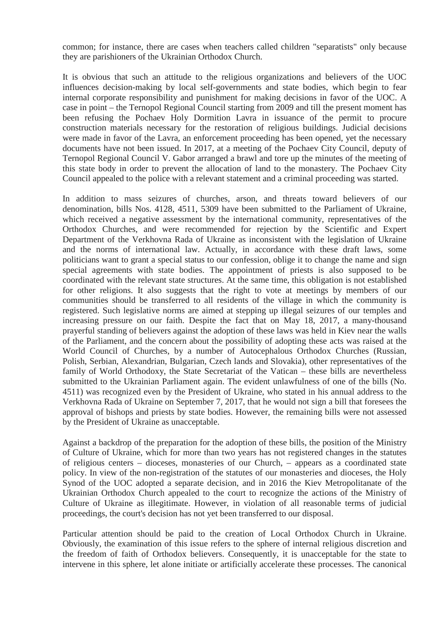common; for instance, there are cases when teachers called children "separatists" only because they are parishioners of the Ukrainian Orthodox Church.

It is obvious that such an attitude to the religious organizations and believers of the UOC influences decision-making by local self-governments and state bodies, which begin to fear internal corporate responsibility and punishment for making decisions in favor of the UOC. A case in point – the Ternopol Regional Council starting from 2009 and till the present moment has been refusing the Pochaev Holy Dormition Lavra in issuance of the permit to procure construction materials necessary for the restoration of religious buildings. Judicial decisions were made in favor of the Lavra, an enforcement proceeding has been opened, yet the necessary documents have not been issued. In 2017, at a meeting of the Pochaev City Council, deputy of Ternopol Regional Council V. Gabor arranged a brawl and tore up the minutes of the meeting of this state body in order to prevent the allocation of land to the monastery. The Pochaev City Council appealed to the police with a relevant statement and a criminal proceeding was started.

In addition to mass seizures of churches, arson, and threats toward believers of our denomination, bills Nos. 4128, 4511, 5309 have been submitted to the Parliament of Ukraine, which received a negative assessment by the international community, representatives of the Orthodox Churches, and were recommended for rejection by the Scientific and Expert Department of the Verkhovna Rada of Ukraine as inconsistent with the legislation of Ukraine and the norms of international law. Actually, in accordance with these draft laws, some politicians want to grant a special status to our confession, oblige it to change the name and sign special agreements with state bodies. The appointment of priests is also supposed to be coordinated with the relevant state structures. At the same time, this obligation is not established for other religions. It also suggests that the right to vote at meetings by members of our communities should be transferred to all residents of the village in which the community is registered. Such legislative norms are aimed at stepping up illegal seizures of our temples and increasing pressure on our faith. Despite the fact that on May 18, 2017, a many-thousand prayerful standing of believers against the adoption of these laws was held in Kiev near the walls of the Parliament, and the concern about the possibility of adopting these acts was raised at the World Council of Churches, by a number of Autocephalous Orthodox Churches (Russian, Polish, Serbian, Alexandrian, Bulgarian, Czech lands and Slovakia), other representatives of the family of World Orthodoxy, the State Secretariat of the Vatican – these bills are nevertheless submitted to the Ukrainian Parliament again. The evident unlawfulness of one of the bills (No. 4511) was recognized even by the President of Ukraine, who stated in his annual address to the Verkhovna Rada of Ukraine on September 7, 2017, that he would not sign a bill that foresees the approval of bishops and priests by state bodies. However, the remaining bills were not assessed by the President of Ukraine as unacceptable.

Against a backdrop of the preparation for the adoption of these bills, the position of the Ministry of Culture of Ukraine, which for more than two years has not registered changes in the statutes of religious centers – dioceses, monasteries of our Church, – appears as a coordinated state policy. In view of the non-registration of the statutes of our monasteries and dioceses, the Holy Synod of the UOC adopted a separate decision, and in 2016 the Kiev Metropolitanate of the Ukrainian Orthodox Church appealed to the court to recognize the actions of the Ministry of Culture of Ukraine as illegitimate. However, in violation of all reasonable terms of judicial proceedings, the court's decision has not yet been transferred to our disposal.

Particular attention should be paid to the creation of Local Orthodox Church in Ukraine. Obviously, the examination of this issue refers to the sphere of internal religious discretion and the freedom of faith of Orthodox believers. Consequently, it is unacceptable for the state to intervene in this sphere, let alone initiate or artificially accelerate these processes. The canonical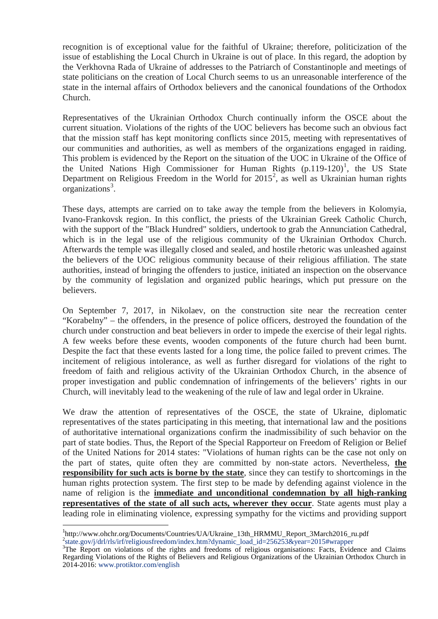recognition is of exceptional value for the faithful of Ukraine; therefore, politicization of the issue of establishing the Local Church in Ukraine is out of place. In this regard, the adoption by the Verkhovna Rada of Ukraine of addresses to the Patriarch of Constantinople and meetings of state politicians on the creation of Local Church seems to us an unreasonable interference of the state in the internal affairs of Orthodox believers and the canonical foundations of the Orthodox Church.

Representatives of the Ukrainian Orthodox Church continually inform the OSCE about the current situation. Violations of the rights of the UOC believers has become such an obvious fact that the mission staff has kept monitoring conflicts since 2015, meeting with representatives of our communities and authorities, as well as members of the organizations engaged in raiding. This problem is evidenced by the Report on the situation of the UOC in Ukraine of the Office of the United Nations High Commissioner for Human Rights  $(p.119-120)^1$  $(p.119-120)^1$  $(p.119-120)^1$ , the US State Department on Religious Freedom in the World for  $2015^2$  $2015^2$ , as well as Ukrainian human rights organizations<sup>[3](#page-2-2)</sup>.

These days, attempts are carried on to take away the temple from the believers in Kolomyia, Ivano-Frankovsk region. In this conflict, the priests of the Ukrainian Greek Catholic Church, with the support of the "Black Hundred" soldiers, undertook to grab the Annunciation Cathedral, which is in the legal use of the religious community of the Ukrainian Orthodox Church. Afterwards the temple was illegally closed and sealed, and hostile rhetoric was unleashed against the believers of the UOC religious community because of their religious affiliation. The state authorities, instead of bringing the offenders to justice, initiated an inspection on the observance by the community of legislation and organized public hearings, which put pressure on the believers.

On September 7, 2017, in Nikolaev, on the construction site near the recreation center "Korabelny" – the offenders, in the presence of police officers, destroyed the foundation of the church under construction and beat believers in order to impede the exercise of their legal rights. A few weeks before these events, wooden components of the future church had been burnt. Despite the fact that these events lasted for a long time, the police failed to prevent crimes. The incitement of religious intolerance, as well as further disregard for violations of the right to freedom of faith and religious activity of the Ukrainian Orthodox Church, in the absence of proper investigation and public condemnation of infringements of the believers' rights in our Church, will inevitably lead to the weakening of the rule of law and legal order in Ukraine.

We draw the attention of representatives of the OSCE, the state of Ukraine, diplomatic representatives of the states participating in this meeting, that international law and the positions of authoritative international organizations confirm the inadmissibility of such behavior on the part of state bodies. Thus, the Report of the Special Rapporteur on Freedom of Religion or Belief of the United Nations for 2014 states: "Violations of human rights can be the case not only on the part of states, quite often they are committed by non-state actors. Nevertheless, **the responsibility for such acts is borne by the state**, since they can testify to shortcomings in the human rights protection system. The first step to be made by defending against violence in the name of religion is the **immediate and unconditional condemnation by all high-ranking representatives of the state of all such acts, wherever they occur**. State agents must play a leading role in eliminating violence, expressing sympathy for the victims and providing support

<span id="page-2-0"></span> $\frac{1}{1}$ http://www.ohchr.org/Documents/Countries/UA/Ukraine\_13th\_HRMMU\_Report\_3March2016\_ru.pdf 2 [state.gov/j/drl/rls/irf/religiousfreedom/index.htm?dynamic\\_load\\_id=256253&year=2015#wrapper](https://www.state.gov/j/drl/rls/irf/religiousfreedom/index.htm?dynamic_load_id=256253&year=2015#wrap)

<span id="page-2-2"></span><span id="page-2-1"></span><sup>&</sup>lt;sup>3</sup>The Report on violations of the rights and freedoms of religious organisations: Facts, Evidence and Claims Regarding Violations of the Rights of Believers and Religious Organizations of the Ukrainian Orthodox Church in 2014-2016[: www.protiktor.com/english](http://www.protiktor.com/english)